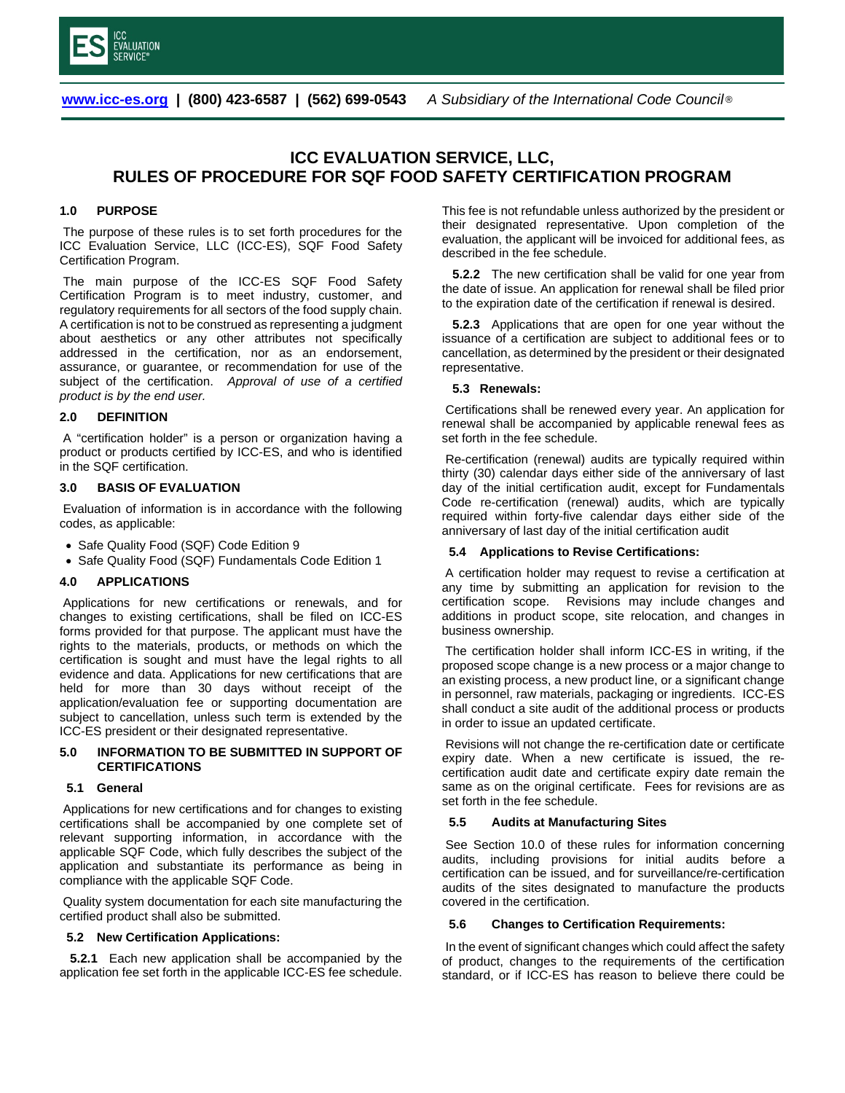

 **[www.icc-es.org](file://bhm-fp1/RFazel$/MyFiles/Criteria%20-%20Committee%20meetings/Committee%20ROPs/www.icc-es.org) | (800) 423-6587 | (562) 699-0543** *A Subsidiary of the International Code Council* ®

# **ICC EVALUATION SERVICE, LLC, RULES OF PROCEDURE FOR SQF FOOD SAFETY CERTIFICATION PROGRAM**

### **1.0 PURPOSE**

The purpose of these rules is to set forth procedures for the ICC Evaluation Service, LLC (ICC-ES), SQF Food Safety Certification Program.

The main purpose of the ICC-ES SQF Food Safety Certification Program is to meet industry, customer, and regulatory requirements for all sectors of the food supply chain. A certification is not to be construed as representing a judgment about aesthetics or any other attributes not specifically addressed in the certification, nor as an endorsement, assurance, or guarantee, or recommendation for use of the subject of the certification. *Approval of use of a certified product is by the end user.*

# **2.0 DEFINITION**

A "certification holder" is a person or organization having a product or products certified by ICC-ES, and who is identified in the SQF certification.

### **3.0 BASIS OF EVALUATION**

Evaluation of information is in accordance with the following codes, as applicable:

- Safe Quality Food (SQF) Code Edition 9
- Safe Quality Food (SQF) Fundamentals Code Edition 1

#### **4.0 APPLICATIONS**

Applications for new certifications or renewals, and for changes to existing certifications, shall be filed on ICC-ES forms provided for that purpose. The applicant must have the rights to the materials, products, or methods on which the certification is sought and must have the legal rights to all evidence and data. Applications for new certifications that are held for more than 30 days without receipt of the application/evaluation fee or supporting documentation are subject to cancellation, unless such term is extended by the ICC-ES president or their designated representative.

## **5.0 INFORMATION TO BE SUBMITTED IN SUPPORT OF CERTIFICATIONS**

#### **5.1 General**

Applications for new certifications and for changes to existing certifications shall be accompanied by one complete set of relevant supporting information, in accordance with the applicable SQF Code, which fully describes the subject of the application and substantiate its performance as being in compliance with the applicable SQF Code.

Quality system documentation for each site manufacturing the certified product shall also be submitted.

#### **5.2 New Certification Applications:**

 **5.2.1** Each new application shall be accompanied by the application fee set forth in the applicable ICC-ES fee schedule. This fee is not refundable unless authorized by the president or their designated representative. Upon completion of the evaluation, the applicant will be invoiced for additional fees, as described in the fee schedule.

 **5.2.2** The new certification shall be valid for one year from the date of issue. An application for renewal shall be filed prior to the expiration date of the certification if renewal is desired.

 **5.2.3** Applications that are open for one year without the issuance of a certification are subject to additional fees or to cancellation, as determined by the president or their designated representative.

### **5.3 Renewals:**

Certifications shall be renewed every year. An application for renewal shall be accompanied by applicable renewal fees as set forth in the fee schedule.

Re-certification (renewal) audits are typically required within thirty (30) calendar days either side of the anniversary of last day of the initial certification audit, except for Fundamentals Code re-certification (renewal) audits, which are typically required within forty-five calendar days either side of the anniversary of last day of the initial certification audit

### **5.4 Applications to Revise Certifications:**

A certification holder may request to revise a certification at any time by submitting an application for revision to the certification scope. Revisions may include changes and additions in product scope, site relocation, and changes in business ownership.

The certification holder shall inform ICC-ES in writing, if the proposed scope change is a new process or a major change to an existing process, a new product line, or a significant change in personnel, raw materials, packaging or ingredients. ICC-ES shall conduct a site audit of the additional process or products in order to issue an updated certificate.

Revisions will not change the re-certification date or certificate expiry date. When a new certificate is issued, the recertification audit date and certificate expiry date remain the same as on the original certificate. Fees for revisions are as set forth in the fee schedule.

#### **5.5 Audits at Manufacturing Sites**

See Section 10.0 of these rules for information concerning audits, including provisions for initial audits before a certification can be issued, and for surveillance/re-certification audits of the sites designated to manufacture the products covered in the certification.

#### **5.6 Changes to Certification Requirements:**

In the event of significant changes which could affect the safety of product, changes to the requirements of the certification standard, or if ICC-ES has reason to believe there could be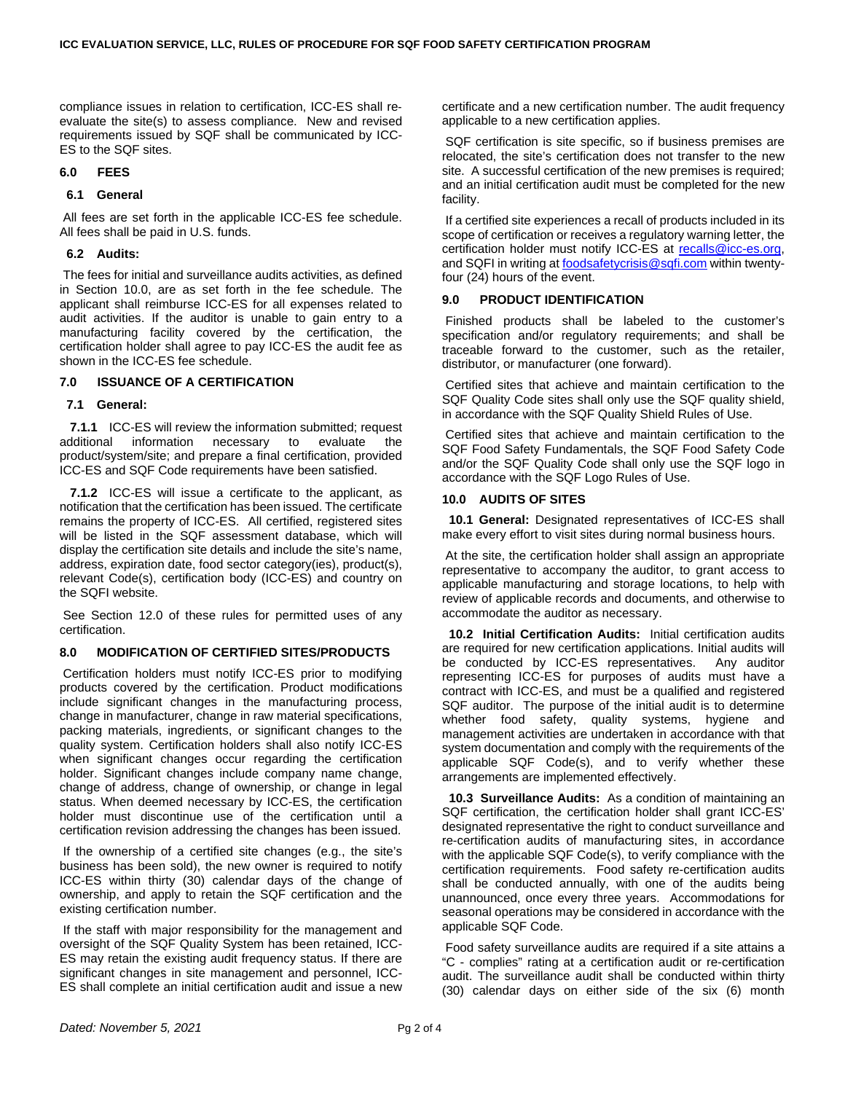compliance issues in relation to certification, ICC-ES shall re‐ evaluate the site(s) to assess compliance. New and revised requirements issued by SQF shall be communicated by ICC-ES to the SQF sites.

# **6.0 FEES**

# **6.1 General**

All fees are set forth in the applicable ICC-ES fee schedule. All fees shall be paid in U.S. funds.

# **6.2 Audits:**

The fees for initial and surveillance audits activities, as defined in Section 10.0, are as set forth in the fee schedule. The applicant shall reimburse ICC-ES for all expenses related to audit activities. If the auditor is unable to gain entry to a manufacturing facility covered by the certification, the certification holder shall agree to pay ICC-ES the audit fee as shown in the ICC-ES fee schedule.

# **7.0 ISSUANCE OF A CERTIFICATION**

# **7.1 General:**

**7.1.1** ICC-ES will review the information submitted; request additional information necessary to evaluate the necessary to evaluate the product/system/site; and prepare a final certification, provided ICC-ES and SQF Code requirements have been satisfied.

 **7.1.2** ICC-ES will issue a certificate to the applicant, as notification that the certification has been issued. The certificate remains the property of ICC-ES. All certified, registered sites will be listed in the SQF assessment database, which will display the certification site details and include the site's name, address, expiration date, food sector category(ies), product(s), relevant Code(s), certification body (ICC-ES) and country on the SQFI website.

See Section 12.0 of these rules for permitted uses of any certification.

# **8.0 MODIFICATION OF CERTIFIED SITES/PRODUCTS**

Certification holders must notify ICC-ES prior to modifying products covered by the certification. Product modifications include significant changes in the manufacturing process, change in manufacturer, change in raw material specifications, packing materials, ingredients, or significant changes to the quality system. Certification holders shall also notify ICC-ES when significant changes occur regarding the certification holder. Significant changes include company name change, change of address, change of ownership, or change in legal status. When deemed necessary by ICC-ES, the certification holder must discontinue use of the certification until a certification revision addressing the changes has been issued.

If the ownership of a certified site changes (e.g., the site's business has been sold), the new owner is required to notify ICC-ES within thirty (30) calendar days of the change of ownership, and apply to retain the SQF certification and the existing certification number.

If the staff with major responsibility for the management and oversight of the SQF Quality System has been retained, ICC-ES may retain the existing audit frequency status. If there are significant changes in site management and personnel, ICC-ES shall complete an initial certification audit and issue a new

certificate and a new certification number. The audit frequency applicable to a new certification applies.

SQF certification is site specific, so if business premises are relocated, the site's certification does not transfer to the new site. A successful certification of the new premises is required; and an initial certification audit must be completed for the new facility.

If a certified site experiences a recall of products included in its scope of certification or receives a regulatory warning letter, the certification holder must notify ICC-ES at recalls@icc-es.org, and SQFI in writing at **foodsafetycrisis@sqfi.com** within twentyfour (24) hours of the event.

# **9.0 PRODUCT IDENTIFICATION**

Finished products shall be labeled to the customer's specification and/or regulatory requirements; and shall be traceable forward to the customer, such as the retailer, distributor, or manufacturer (one forward).

Certified sites that achieve and maintain certification to the SQF Quality Code sites shall only use the SQF quality shield, in accordance with the SQF Quality Shield Rules of Use.

Certified sites that achieve and maintain certification to the SQF Food Safety Fundamentals, the SQF Food Safety Code and/or the SQF Quality Code shall only use the SQF logo in accordance with the SQF Logo Rules of Use.

# **10.0 AUDITS OF SITES**

**10.1 General:** Designated representatives of ICC-ES shall make every effort to visit sites during normal business hours.

At the site, the certification holder shall assign an appropriate representative to accompany the auditor, to grant access to applicable manufacturing and storage locations, to help with review of applicable records and documents, and otherwise to accommodate the auditor as necessary.

 **10.2 Initial Certification Audits:** Initial certification audits are required for new certification applications. Initial audits will be conducted by ICC-ES representatives. Any auditor representing ICC-ES for purposes of audits must have a contract with ICC-ES, and must be a qualified and registered SQF auditor. The purpose of the initial audit is to determine whether food safety, quality systems, hygiene and management activities are undertaken in accordance with that system documentation and comply with the requirements of the applicable SQF Code(s), and to verify whether these arrangements are implemented effectively.

 **10.3 Surveillance Audits:** As a condition of maintaining an SQF certification, the certification holder shall grant ICC-ES' designated representative the right to conduct surveillance and re-certification audits of manufacturing sites, in accordance with the applicable SQF Code(s), to verify compliance with the certification requirements. Food safety re-certification audits shall be conducted annually, with one of the audits being unannounced, once every three years. Accommodations for seasonal operations may be considered in accordance with the applicable SQF Code.

Food safety surveillance audits are required if a site attains a "C - complies" rating at a certification audit or re-certification audit. The surveillance audit shall be conducted within thirty (30) calendar days on either side of the six (6) month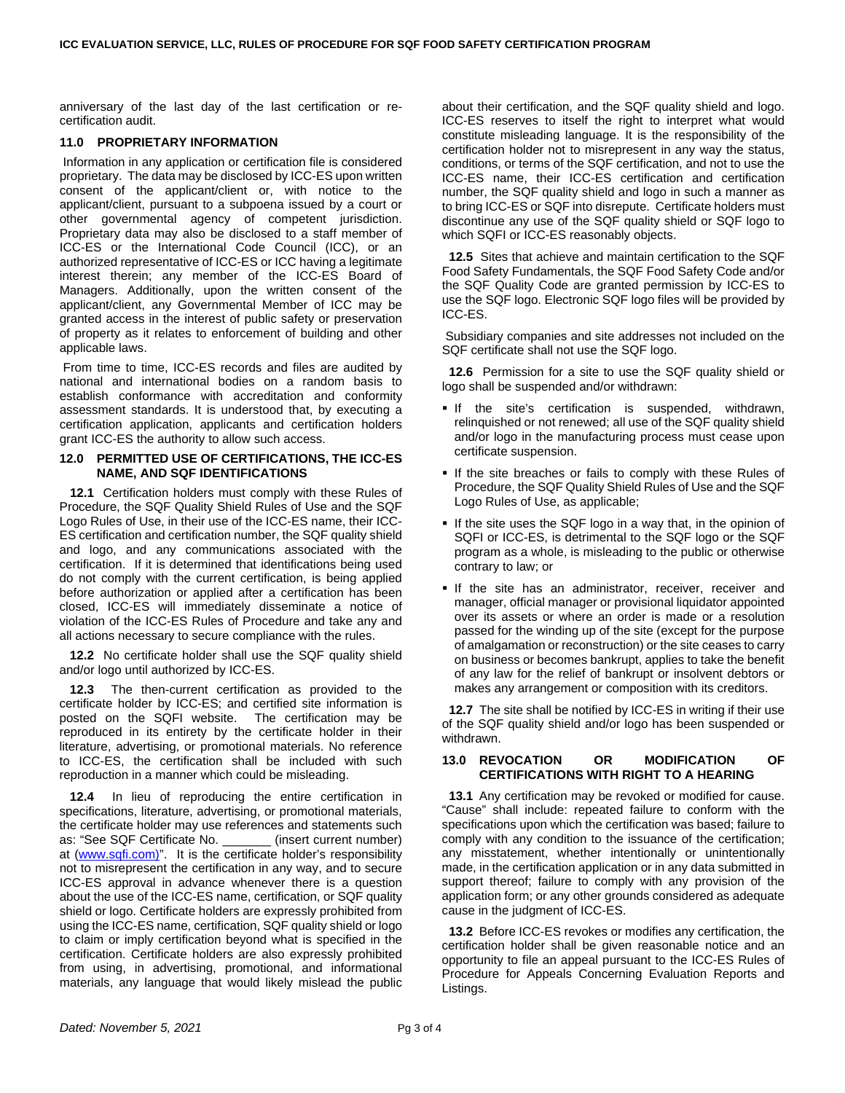anniversary of the last day of the last certification or recertification audit.

# **11.0 PROPRIETARY INFORMATION**

Information in any application or certification file is considered proprietary. The data may be disclosed by ICC-ES upon written consent of the applicant/client or, with notice to the applicant/client, pursuant to a subpoena issued by a court or other governmental agency of competent jurisdiction. Proprietary data may also be disclosed to a staff member of ICC-ES or the International Code Council (ICC), or an authorized representative of ICC-ES or ICC having a legitimate interest therein; any member of the ICC-ES Board of Managers. Additionally, upon the written consent of the applicant/client, any Governmental Member of ICC may be granted access in the interest of public safety or preservation of property as it relates to enforcement of building and other applicable laws.

From time to time, ICC-ES records and files are audited by national and international bodies on a random basis to establish conformance with accreditation and conformity assessment standards. It is understood that, by executing a certification application, applicants and certification holders grant ICC-ES the authority to allow such access.

### **12.0 PERMITTED USE OF CERTIFICATIONS, THE ICC-ES NAME, AND SQF IDENTIFICATIONS**

 **12.1** Certification holders must comply with these Rules of Procedure, the SQF Quality Shield Rules of Use and the SQF Logo Rules of Use, in their use of the ICC-ES name, their ICC-ES certification and certification number, the SQF quality shield and logo, and any communications associated with the certification. If it is determined that identifications being used do not comply with the current certification, is being applied before authorization or applied after a certification has been closed, ICC-ES will immediately disseminate a notice of violation of the ICC-ES Rules of Procedure and take any and all actions necessary to secure compliance with the rules.

 **12.2** No certificate holder shall use the SQF quality shield and/or logo until authorized by ICC-ES.

 **12.3** The then-current certification as provided to the certificate holder by ICC-ES; and certified site information is posted on the SQFI website. The certification may be reproduced in its entirety by the certificate holder in their literature, advertising, or promotional materials. No reference to ICC-ES, the certification shall be included with such reproduction in a manner which could be misleading.

 **12.4** In lieu of reproducing the entire certification in specifications, literature, advertising, or promotional materials, the certificate holder may use references and statements such as: "See SQF Certificate No. \_\_\_\_\_\_\_ (insert current number) at [\(www.sqfi.com\)"](http://www.sqfi.com)/). It is the certificate holder's responsibility not to misrepresent the certification in any way, and to secure ICC-ES approval in advance whenever there is a question about the use of the ICC-ES name, certification, or SQF quality shield or logo. Certificate holders are expressly prohibited from using the ICC-ES name, certification, SQF quality shield or logo to claim or imply certification beyond what is specified in the certification. Certificate holders are also expressly prohibited from using, in advertising, promotional, and informational materials, any language that would likely mislead the public

about their certification, and the SQF quality shield and logo. ICC-ES reserves to itself the right to interpret what would constitute misleading language. It is the responsibility of the certification holder not to misrepresent in any way the status, conditions, or terms of the SQF certification, and not to use the ICC-ES name, their ICC-ES certification and certification number, the SQF quality shield and logo in such a manner as to bring ICC-ES or SQF into disrepute. Certificate holders must discontinue any use of the SQF quality shield or SQF logo to which SQFI or ICC-ES reasonably objects.

**12.5** Sites that achieve and maintain certification to the SQF Food Safety Fundamentals, the SQF Food Safety Code and/or the SQF Quality Code are granted permission by ICC-ES to use the SQF logo. Electronic SQF logo files will be provided by ICC-ES.

Subsidiary companies and site addresses not included on the SQF certificate shall not use the SQF logo.

 **12.6** Permission for a site to use the SQF quality shield or logo shall be suspended and/or withdrawn:

- **If** the site's certification is suspended, withdrawn, relinquished or not renewed; all use of the SQF quality shield and/or logo in the manufacturing process must cease upon certificate suspension.
- If the site breaches or fails to comply with these Rules of Procedure, the SQF Quality Shield Rules of Use and the SQF Logo Rules of Use, as applicable;
- If the site uses the SQF logo in a way that, in the opinion of SQFI or ICC-ES, is detrimental to the SQF logo or the SQF program as a whole, is misleading to the public or otherwise contrary to law; or
- If the site has an administrator, receiver, receiver and manager, official manager or provisional liquidator appointed over its assets or where an order is made or a resolution passed for the winding up of the site (except for the purpose of amalgamation or reconstruction) or the site ceases to carry on business or becomes bankrupt, applies to take the benefit of any law for the relief of bankrupt or insolvent debtors or makes any arrangement or composition with its creditors.

 **12.7** The site shall be notified by ICC-ES in writing if their use of the SQF quality shield and/or logo has been suspended or withdrawn.

# **13.0 REVOCATION OR MODIFICATION OF CERTIFICATIONS WITH RIGHT TO A HEARING**

 **13.1** Any certification may be revoked or modified for cause. "Cause" shall include: repeated failure to conform with the specifications upon which the certification was based; failure to comply with any condition to the issuance of the certification; any misstatement, whether intentionally or unintentionally made, in the certification application or in any data submitted in support thereof; failure to comply with any provision of the application form; or any other grounds considered as adequate cause in the judgment of ICC-ES.

 **13.2** Before ICC-ES revokes or modifies any certification, the certification holder shall be given reasonable notice and an opportunity to file an appeal pursuant to the ICC-ES Rules of Procedure for Appeals Concerning Evaluation Reports and Listings.